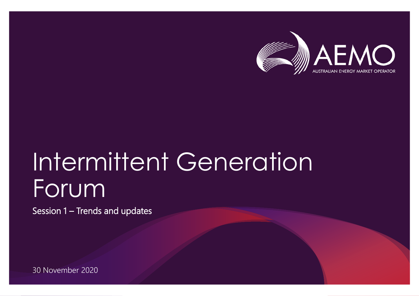

## Intermittent Generation Forum

Session 1 – Trends and updates

30 November 2020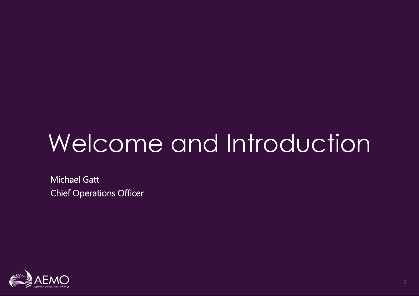# Welcome and Introduction

Michael Gatt Chief Operations Officer

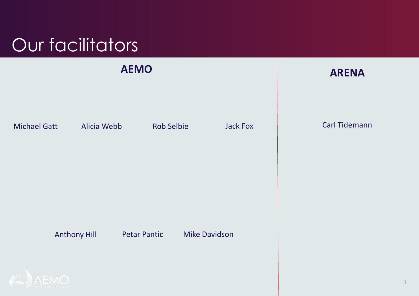## Our facilitators



3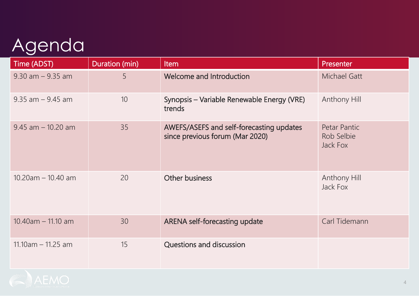### Agenda

| Time (ADST)           | Duration (min) | Item                                                                        | Presenter                              |
|-----------------------|----------------|-----------------------------------------------------------------------------|----------------------------------------|
| $9.30$ am $-9.35$ am  | 5              | Welcome and Introduction                                                    | <b>Michael Gatt</b>                    |
| $9.35$ am $-9.45$ am  | 10             | Synopsis – Variable Renewable Energy (VRE)<br>trends                        | Anthony Hill                           |
| $9.45$ am $-10.20$ am | 35             | AWEFS/ASEFS and self-forecasting updates<br>since previous forum (Mar 2020) | Petar Pantic<br>Rob Selbie<br>Jack Fox |
| $10.20$ am - 10.40 am | 20             | <b>Other business</b>                                                       | Anthony Hill<br>Jack Fox               |
| $10.40$ am - 11.10 am | 30             | <b>ARENA self-forecasting update</b>                                        | Carl Tidemann                          |
| $11.10am - 11.25 am$  | 15             | <b>Questions and discussion</b>                                             |                                        |

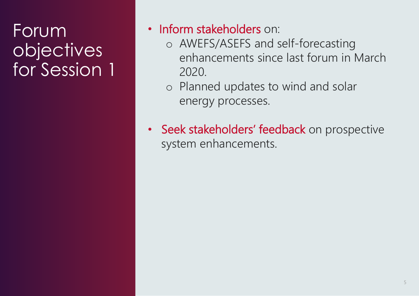#### **Forum** objectives for Session 1

- Inform stakeholders on:
	- o AWEFS/ASEFS and self-forecasting enhancements since last forum in March 2020.
	- o Planned updates to wind and solar energy processes.
- Seek stakeholders' feedback on prospective system enhancements.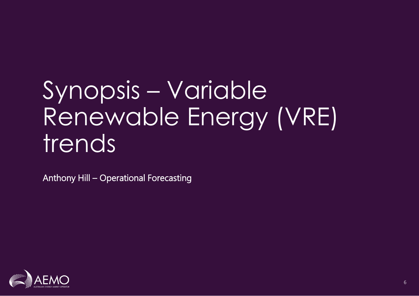## Synopsis – Variable Renewable Energy (VRE) trends

Anthony Hill – Operational Forecasting

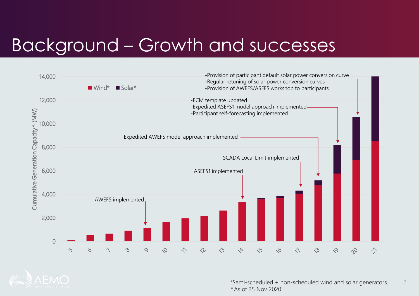#### Background – Growth and successes



\*Semi-scheduled + non-scheduled wind and solar generators. 7 ^As of 25 Nov 2020.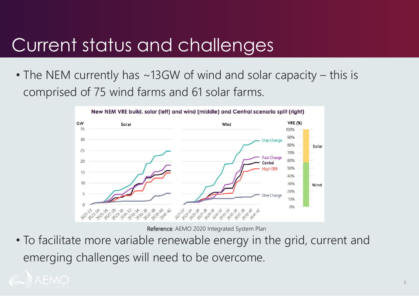#### Current status and challenges

• The NEM currently has ~13GW of wind and solar capacity – this is comprised of 75 wind farms and 61 solar farms.



Reference: AEMO 2020 Integrated System Plan

• To facilitate more variable renewable energy in the grid, current and emerging challenges will need to be overcome.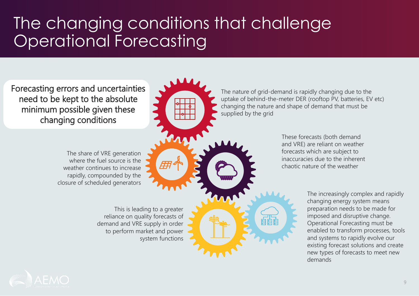#### The changing conditions that challenge Operational Forecasting

Forecasting errors and uncertainties need to be kept to the absolute minimum possible given these changing conditions

> The share of VRE generation where the fuel source is the weather continues to increase rapidly, compounded by the closure of scheduled generators

> > This is leading to a greater reliance on quality forecasts of demand and VRE supply in order to perform market and power system functions

The nature of grid-demand is rapidly changing due to the uptake of behind-the-meter DER (rooftop PV, batteries, EV etc) changing the nature and shape of demand that must be supplied by the grid

> These forecasts (both demand and VRE) are reliant on weather forecasts which are subject to inaccuracies due to the inherent chaotic nature of the weather

> > The increasingly complex and rapidly changing energy system means preparation needs to be made for imposed and disruptive change. Operational Forecasting must be enabled to transform processes, tools and systems to rapidly evolve our existing forecast solutions and create new types of forecasts to meet new demands

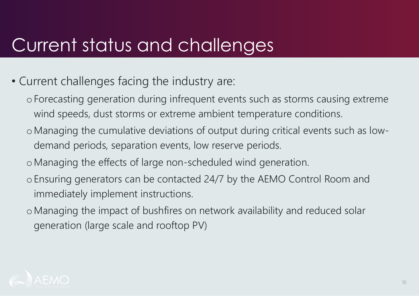#### Current status and challenges

- Current challenges facing the industry are:
	- oForecasting generation during infrequent events such as storms causing extreme wind speeds, dust storms or extreme ambient temperature conditions.
	- oManaging the cumulative deviations of output during critical events such as lowdemand periods, separation events, low reserve periods.
	- oManaging the effects of large non-scheduled wind generation.
	- oEnsuring generators can be contacted 24/7 by the AEMO Control Room and immediately implement instructions.
	- oManaging the impact of bushfires on network availability and reduced solar generation (large scale and rooftop PV)

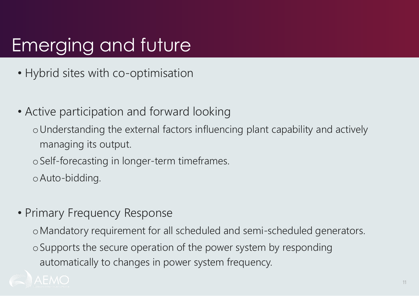### Emerging and future

- Hybrid sites with co-optimisation
- Active participation and forward looking
	- oUnderstanding the external factors influencing plant capability and actively managing its output.
	- oSelf-forecasting in longer-term timeframes.
	- oAuto-bidding.
- Primary Frequency Response
	- oMandatory requirement for all scheduled and semi-scheduled generators.
	- oSupports the secure operation of the power system by responding automatically to changes in power system frequency.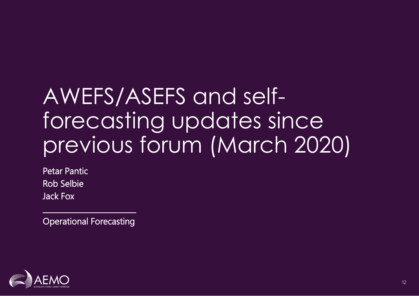## AWEFS/ASEFS and selfforecasting updates since previous forum (March 2020)

Petar Pantic Rob Selbie Jack Fox

Operational Forecasting

 $\mathcal{L}_\text{max}$  , where  $\mathcal{L}_\text{max}$  is the set of the set of the set of the set of the set of the set of the set of the set of the set of the set of the set of the set of the set of the set of the set of the set of the se

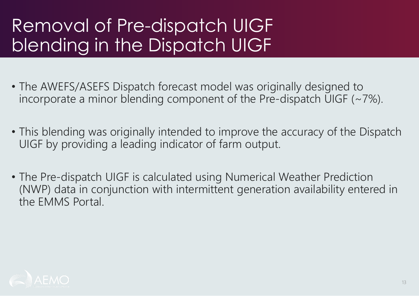#### Removal of Pre-dispatch UIGF blending in the Dispatch UIGF

- The AWEFS/ASEFS Dispatch forecast model was originally designed to incorporate a minor blending component of the Pre-dispatch UIGF  $(\sim 7\%)$ .
- This blending was originally intended to improve the accuracy of the Dispatch UIGF by providing a leading indicator of farm output.
- The Pre-dispatch UIGF is calculated using Numerical Weather Prediction (NWP) data in conjunction with intermittent generation availability entered in the EMMS Portal.

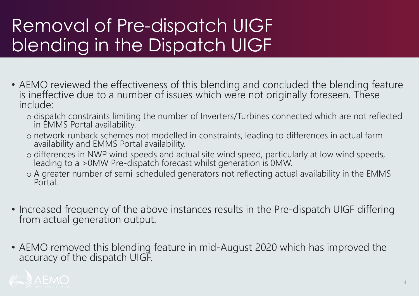#### Removal of Pre-dispatch UIGF blending in the Dispatch UIGF

- AEMO reviewed the effectiveness of this blending and concluded the blending feature is ineffective due to a number of issues which were not originally foreseen. These include:
	- o dispatch constraints limiting the number of Inverters/Turbines connected which are not reflected in EMMS Portal availability.
	- o network runback schemes not modelled in constraints, leading to differences in actual farm availability and EMMS Portal availability.
	- o differences in NWP wind speeds and actual site wind speed, particularly at low wind speeds, leading to a >0MW Pre-dispatch forecast whilst generation is 0MW.
	- o A greater number of semi-scheduled generators not reflecting actual availability in the EMMS Portal.
- Increased frequency of the above instances results in the Pre-dispatch UIGF differing from actual generation output.
- AEMO removed this blending feature in mid-August 2020 which has improved the accuracy of the dispatch UIGF.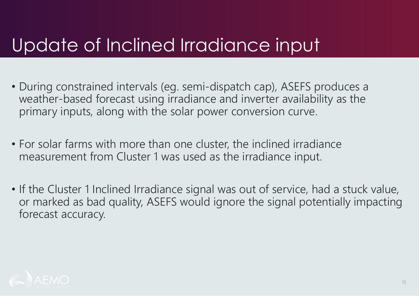#### Update of Inclined Irradiance input

- During constrained intervals (eg. semi-dispatch cap), ASEFS produces a weather-based forecast using irradiance and inverter availability as the primary inputs, along with the solar power conversion curve.
- For solar farms with more than one cluster, the inclined irradiance measurement from Cluster 1 was used as the irradiance input.
- If the Cluster 1 Inclined Irradiance signal was out of service, had a stuck value, or marked as bad quality, ASEFS would ignore the signal potentially impacting forecast accuracy.

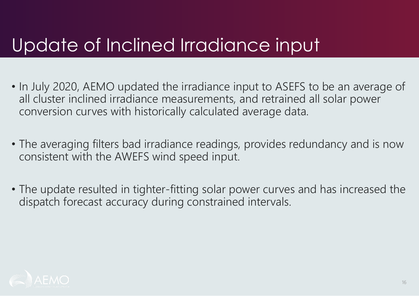#### Update of Inclined Irradiance input

- In July 2020, AEMO updated the irradiance input to ASEFS to be an average of all cluster inclined irradiance measurements, and retrained all solar power conversion curves with historically calculated average data.
- The averaging filters bad irradiance readings, provides redundancy and is now consistent with the AWEFS wind speed input.
- The update resulted in tighter-fitting solar power curves and has increased the dispatch forecast accuracy during constrained intervals.

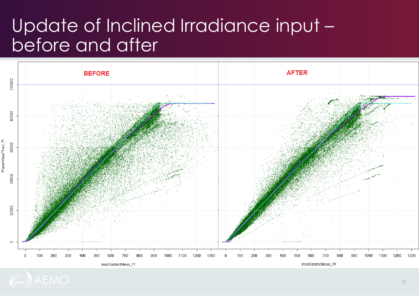#### Update of Inclined Irradiance input – before and after

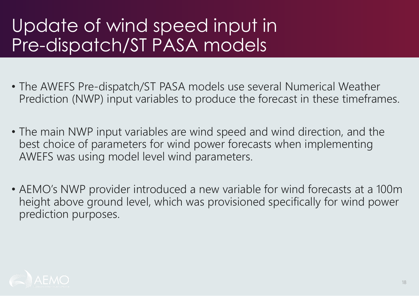#### Update of wind speed input in Pre-dispatch/ST PASA models

- The AWEFS Pre-dispatch/ST PASA models use several Numerical Weather Prediction (NWP) input variables to produce the forecast in these timeframes.
- The main NWP input variables are wind speed and wind direction, and the best choice of parameters for wind power forecasts when implementing AWEFS was using model level wind parameters.
- AEMO's NWP provider introduced a new variable for wind forecasts at a 100m height above ground level, which was provisioned specifically for wind power prediction purposes.

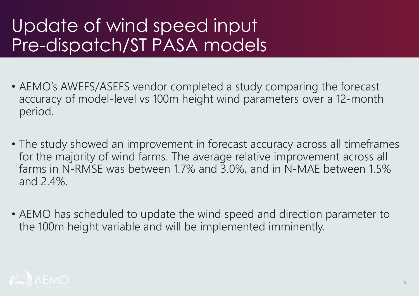#### Update of wind speed input Pre-dispatch/ST PASA models

- AEMO's AWEFS/ASEFS vendor completed a study comparing the forecast accuracy of model-level vs 100m height wind parameters over a 12-month period.
- The study showed an improvement in forecast accuracy across all timeframes for the majority of wind farms. The average relative improvement across all farms in N-RMSE was between 1.7% and 3.0%, and in N-MAE between 1.5% and 2.4%.
- AEMO has scheduled to update the wind speed and direction parameter to the 100m height variable and will be implemented imminently.

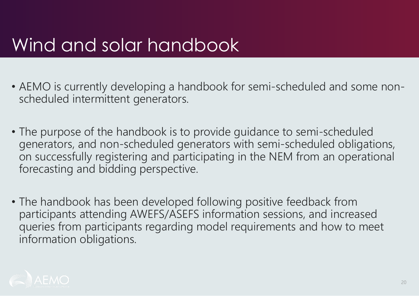#### Wind and solar handbook

- AEMO is currently developing a handbook for semi-scheduled and some nonscheduled intermittent generators.
- The purpose of the handbook is to provide guidance to semi-scheduled generators, and non-scheduled generators with semi-scheduled obligations, on successfully registering and participating in the NEM from an operational forecasting and bidding perspective.
- The handbook has been developed following positive feedback from participants attending AWEFS/ASEFS information sessions, and increased queries from participants regarding model requirements and how to meet information obligations.

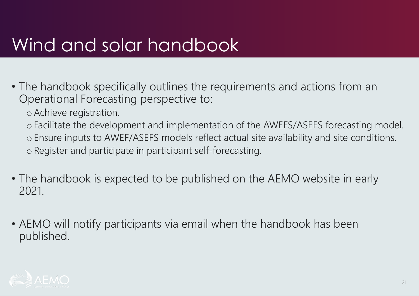#### Wind and solar handbook

- The handbook specifically outlines the requirements and actions from an Operational Forecasting perspective to:
	- oAchieve registration.

o Facilitate the development and implementation of the AWEFS/ASEFS forecasting model. o Ensure inputs to AWEF/ASEFS models reflect actual site availability and site conditions. o Register and participate in participant self-forecasting.

- The handbook is expected to be published on the AEMO website in early 2021.
- AEMO will notify participants via email when the handbook has been published.

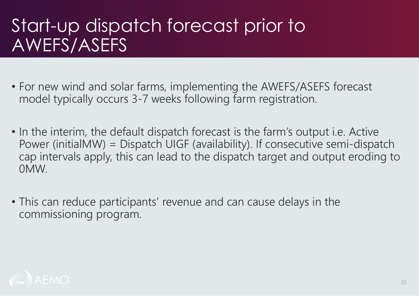#### Start-up dispatch forecast prior to AWEFS/ASEFS

- For new wind and solar farms, implementing the AWEFS/ASEFS forecast model typically occurs 3-7 weeks following farm registration.
- In the interim, the default dispatch forecast is the farm's output i.e. Active Power (initialMW) = Dispatch UIGF (availability). If consecutive semi-dispatch cap intervals apply, this can lead to the dispatch target and output eroding to 0MW.
- This can reduce participants' revenue and can cause delays in the commissioning program.

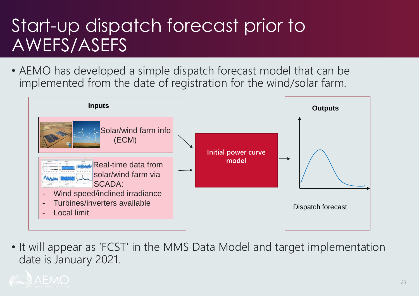#### Start-up dispatch forecast prior to AWEFS/ASEFS

• AEMO has developed a simple dispatch forecast model that can be implemented from the date of registration for the wind/solar farm.



• It will appear as 'FCST' in the MMS Data Model and target implementation date is January 2021.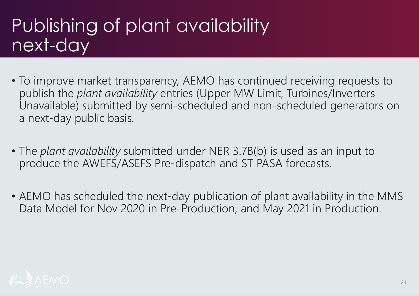#### Publishing of plant availability next-day

- To improve market transparency, AEMO has continued receiving requests to publish the *plant availability* entries (Upper MW Limit, Turbines/Inverters Unavailable) submitted by semi-scheduled and non-scheduled generators on a next-day public basis.
- The *plant availability* submitted under NER 3.7B(b) is used as an input to produce the AWEFS/ASEFS Pre-dispatch and ST PASA forecasts.
- AEMO has scheduled the next-day publication of plant availability in the MMS Data Model for Nov 2020 in Pre-Production, and May 2021 in Production.

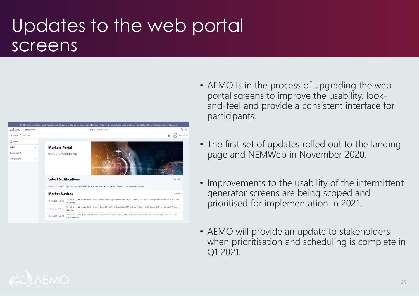#### Updates to the web portal screens



- AEMO is in the process of upgrading the web portal screens to improve the usability, lookand-feel and provide a consistent interface for participants.
- The first set of updates rolled out to the landing page and NEMWeb in November 2020.
- Improvements to the usability of the intermittent generator screens are being scoped and prioritised for implementation in 2021.
- AEMO will provide an update to stakeholders when prioritisation and scheduling is complete in Q1 2021.

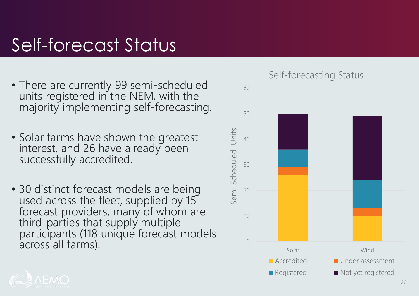#### Self-forecast Status

- There are currently 99 semi-scheduled units registered in the NEM, with the majority implementing self-forecasting.
- Solar farms have shown the greatest interest, and 26 have already been successfully accredited.
- 30 distinct forecast models are being used across the fleet, supplied by 15 forecast providers, many of whom are third-parties that supply multiple participants (118 unique forecast models across all farms).



Self-forecasting Status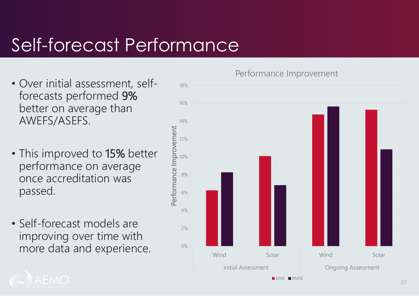#### Self-forecast Performance

- Over initial assessment, selfforecasts performed 9% better on average than AWEFS/ASEFS.
- This improved to 15% better performance on average once accreditation was passed.
- Self-forecast models are improving over time with more data and experience.

Performance Improvement



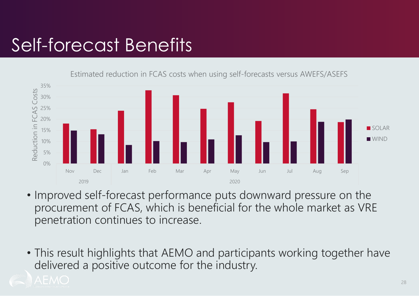#### Self-forecast Benefits

Estimated reduction in FCAS costs when using self-forecasts versus AWEFS/ASEFS



- Improved self-forecast performance puts downward pressure on the procurement of FCAS, which is beneficial for the whole market as VRE penetration continues to increase.
- This result highlights that AEMO and participants working together have delivered a positive outcome for the industry.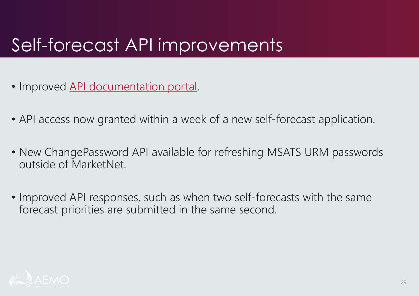### Self-forecast API improvements

- Improved [API documentation portal.](https://dev.aemo.com.au/guides/selfforecast)
- API access now granted within a week of a new self-forecast application.
- New ChangePassword API available for refreshing MSATS URM passwords outside of MarketNet.
- Improved API responses, such as when two self-forecasts with the same forecast priorities are submitted in the same second.

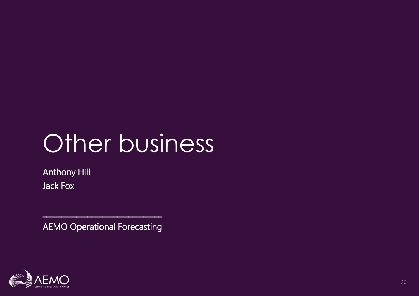## Other business

Anthony Hill Jack Fox

AEMO Operational Forecasting

 $\mathcal{L}_\text{max}$  , where  $\mathcal{L}_\text{max}$  is the set of the set of the set of the set of the set of the set of the set of the set of the set of the set of the set of the set of the set of the set of the set of the set of the se

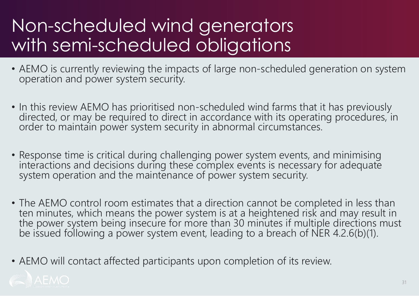#### Non-scheduled wind generators with semi-scheduled obligations

- AEMO is currently reviewing the impacts of large non-scheduled generation on system operation and power system security.
- In this review AEMO has prioritised non-scheduled wind farms that it has previously directed, or may be required to direct in accordance with its operating procedures, in order to maintain power system security in abnormal circumstances.
- Response time is critical during challenging power system events, and minimising interactions and decisions during these complex events is necessary for adequate system operation and the maintenance of power system security.
- The AEMO control room estimates that a direction cannot be completed in less than ten minutes, which means the power system is at a heightened risk and may result in the power system being insecure for more than 30 minutes if multiple directions must be issued following a power system event, leading to a breach of NER 4.2.6(b)(1).
- AEMO will contact affected participants upon completion of its review.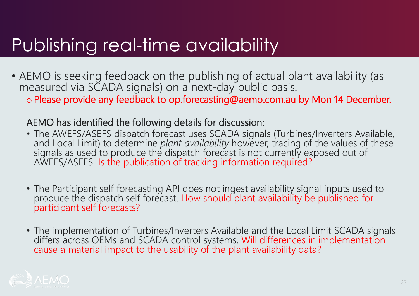#### Publishing real-time availability

• AEMO is seeking feedback on the publishing of actual plant availability (as measured via SCADA signals) on a next-day public basis.

o Please provide any feedback to [op.forecasting@aemo.com.au](mailto:op.forecasting@aemo.com.au) by Mon 14 December.

#### AEMO has identified the following details for discussion:

- The AWEFS/ASEFS dispatch forecast uses SCADA signals (Turbines/Inverters Available, and Local Limit) to determine *plant availability* however, tracing of the values of these signals as used to produce the dispatch forecast is not currently exposed out of AWEFS/ASEFS. Is the publication of tracking information required?
- The Participant self forecasting API does not ingest availability signal inputs used to produce the dispatch self forecast. How should plant availability be published for participant self forecasts?
- The implementation of Turbines/Inverters Available and the Local Limit SCADA signals differs across OEMs and SCADA control systems. Will differences in implementation cause a material impact to the usability of the plant availability data?

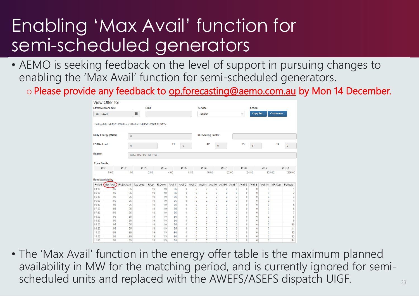#### Enabling 'Max Avail' function for semi-scheduled generators

- AEMO is seeking feedback on the level of support in pursuing changes to enabling the 'Max Avail' function for semi-scheduled generators.
	- o Please provide any feedback to [op.forecasting@aemo.com.au](mailto:op.forecasting@aemo.com.au) by Mon 14 December.

|                                                               | View Offer for                                                   |                                                                  |                 |                           |                 |         |                 |                |                                |              |                         |              |                 |                           |                 |        |                |  |
|---------------------------------------------------------------|------------------------------------------------------------------|------------------------------------------------------------------|-----------------|---------------------------|-----------------|---------|-----------------|----------------|--------------------------------|--------------|-------------------------|--------------|-----------------|---------------------------|-----------------|--------|----------------|--|
| <b>Effective from date</b><br><b>Duid</b><br>m.<br>06/11/2020 |                                                                  |                                                                  |                 |                           |                 |         |                 | <b>Service</b> |                                |              |                         |              |                 | <b>Action</b>             |                 |        |                |  |
|                                                               |                                                                  |                                                                  |                 |                           |                 |         | Energy          |                |                                | $\checkmark$ | Copy this<br>Create new |              |                 |                           |                 |        |                |  |
|                                                               |                                                                  | Trading date Fri 06/11/2020 Submitted on Fri 06/11/2020 09:18:22 |                 |                           |                 |         |                 |                |                                |              |                         |              |                 |                           |                 |        |                |  |
|                                                               | Daily Energy (MWh)<br>$\bf{0}$<br><b>FS Min Load</b><br>$\bf{0}$ |                                                                  |                 |                           |                 |         |                 |                | <b>MR Scaling Factor</b>       |              |                         |              |                 |                           |                 |        |                |  |
|                                                               |                                                                  |                                                                  |                 | <b>T1</b><br>$\mathbf{0}$ |                 |         |                 |                | T <sub>2</sub><br>$\mathbf{0}$ |              |                         |              | T <sub>3</sub>  | <b>T4</b><br>$\mathbf{0}$ |                 |        | $\mathbf{0}$   |  |
| Reason<br>Initial Offer for ENERGY                            |                                                                  |                                                                  |                 |                           |                 |         |                 |                |                                |              |                         |              |                 |                           |                 |        |                |  |
| <b>Price Bands</b>                                            |                                                                  |                                                                  |                 |                           |                 |         |                 |                |                                |              |                         |              |                 |                           |                 |        |                |  |
|                                                               | PB <sub>1</sub>                                                  | PB <sub>2</sub>                                                  | PB <sub>3</sub> |                           | PB <sub>4</sub> |         | PB <sub>5</sub> |                | PB <sub>6</sub>                |              | PB <sub>7</sub>         |              | PB <sub>8</sub> |                           | PB <sub>9</sub> |        | <b>PB 10</b>   |  |
|                                                               | 0.00                                                             | 1.00                                                             |                 | 2.00                      |                 | 4.00    |                 | 8.00           |                                | 16.00        |                         | 32.00        |                 | 64.00                     |                 | 128.00 | 256.00         |  |
|                                                               | <b>Band Availability</b>                                         |                                                                  |                 |                           |                 |         |                 |                |                                |              |                         |              |                 |                           |                 |        |                |  |
| Period                                                        | Max Avail                                                        | <b>PASA Avail</b>                                                | Fxd Load        | R.Up                      | R.Down          | Avail 1 | Avail 2         | Avail 3        | Avail 4                        | Avail 5      | Avail 6                 | Avail 7      | Avail 8         | Avail 9                   | Avail 10        | MR Cap | PeriodId       |  |
| 04:30                                                         | 95                                                               | 95                                                               |                 | 19                        | 19              | 95      | $\bf{0}$        | $\bf{0}$       | $\bf{0}$                       | $\bf{0}$     | $\bf{0}$                | $\bf{0}$     | $\bf{0}$        | $\bf{0}$                  | 0               |        | 1              |  |
| 05:00                                                         | 95                                                               | 95                                                               |                 | 19                        |                 |         |                 |                |                                |              |                         |              |                 |                           |                 |        |                |  |
|                                                               |                                                                  |                                                                  |                 |                           | 19              | 95      | $\bf{0}$        | $\bf{0}$       | $\bf{0}$                       | $\bf{0}$     | $\bf{0}$                | $\bf{0}$     | 0               | $\bf{0}$                  | $\bf{0}$        |        | $\overline{2}$ |  |
| 05:30                                                         | 95                                                               | 95                                                               |                 | 19                        | 19              | 95      | $\mathbf{0}$    | $\bf{0}$       | $\bf{0}$                       | $\mathbf{0}$ | $\bf{0}$                | $\mathbf{0}$ | $\bf{0}$        | 0                         | $\bf{0}$        |        | 3              |  |
| 06:00                                                         | 95                                                               | 95                                                               |                 | 19                        | 19              | 95      | $\mathbf{0}$    | $\bf{0}$       | $\bf{0}$                       | $\bf{0}$     | 0                       | $\mathbf{0}$ | $\bf{0}$        | 0                         | $\bf{0}$        |        | 4              |  |
| 06:30                                                         | 95                                                               | 95                                                               |                 | 19                        | 19              | 95      | $\bf{0}$        | $\theta$       | $\bf{0}$                       | $\Omega$     | $\bf{0}$                | $\bf{0}$     | $\bf{0}$        | $\bf{0}$                  | $\bf{0}$        |        | 5              |  |
| 07:00                                                         | 95                                                               | 95                                                               |                 | 19                        | 19              | 95      | $\bf{0}$        | $\bf{0}$       | $\bf{0}$                       | $\bf{0}$     | $\bf{0}$                | $\bf{0}$     | $\bf{0}$        | 0                         | $\bf{0}$        |        | 6              |  |
| 07:30                                                         | 95                                                               | 95                                                               |                 | 19                        | 19              | 95      | $\mathbf{0}$    | $\mathbf{0}$   | $\bf{0}$                       | $\bf{0}$     | $\bf{0}$                | $\bf{0}$     | $\bf{0}$        | 0                         | $\bf{0}$        |        | 7              |  |
| 08:00                                                         | 95                                                               | 95                                                               |                 | 19                        | 19              | 95      | $\mathbf{0}$    | $\theta$       | $\mathbf{0}$                   | $\mathbf{0}$ | $\bf{0}$                | $\mathbf{0}$ | $\bf{0}$        | $\bf{0}$                  | $\bf{0}$        |        | 8              |  |
| 08:30                                                         | 95                                                               | 95                                                               |                 | 19                        | 19              | 95      | $\bf{0}$        | $\bf{0}$       | $\bf{0}$                       | $\bf{0}$     | $\bf{0}$                | $\bf{0}$     | $\bf{0}$        | $\bf{0}$                  | $\bf{0}$        |        | 9              |  |
| 09:00                                                         | 95                                                               | 95                                                               |                 | 19                        | 19              | 95      | $\mathbf{0}$    | $\bf{0}$       | $\bf{0}$                       | $\bf{0}$     | $\bf{0}$                | $\bf{0}$     | $\bf{0}$        | $\bf{0}$                  | $\bf{0}$        |        | 10             |  |
| 09:30                                                         | 95                                                               | 95                                                               |                 | 19                        | 19              | 95      | $\mathbf{0}$    | $\mathbf{0}$   | $\mathbf{0}$                   | $\bf{0}$     | $\bf{0}$                | $\mathbf{0}$ | $\bf{0}$        | $\bf{0}$                  | $\bf{0}$        |        | 11             |  |
| 10:00                                                         | 95                                                               | 95                                                               |                 | 19                        | 19              | 95      | $\mathbf{0}$    | $\bf{0}$       | $\mathbf{0}$                   | $\bf{0}$     | 0                       | $\mathbf{0}$ | $\bf{0}$        | $\bf{0}$                  | $\bf{0}$        |        | 12             |  |
| 10:30                                                         | 95                                                               | 95                                                               |                 | 19                        | 19              | 95      | $\bf{0}$        | $\bf{0}$       | $\bf{0}$                       | $\bf{0}$     | $\bf{0}$                | $\bf{0}$     | $\bf{0}$        | $\bf{0}$                  | $\bf{0}$        |        | 13             |  |

• The 'Max Avail' function in the energy offer table is the maximum planned availability in MW for the matching period, and is currently ignored for semischeduled units and replaced with the AWEFS/ASEFS dispatch UIGF.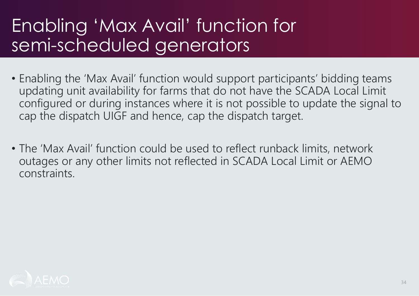#### Enabling 'Max Avail' function for semi-scheduled generators

- Enabling the 'Max Avail' function would support participants' bidding teams updating unit availability for farms that do not have the SCADA Local Limit configured or during instances where it is not possible to update the signal to cap the dispatch UIGF and hence, cap the dispatch target.
- The 'Max Avail' function could be used to reflect runback limits, network outages or any other limits not reflected in SCADA Local Limit or AEMO constraints.

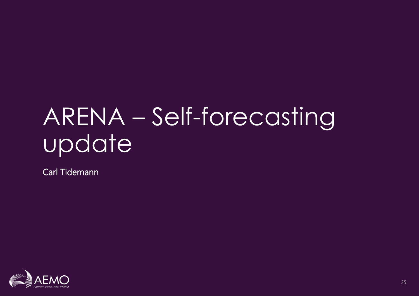## ARENA – Self-forecasting update

Carl Tidemann

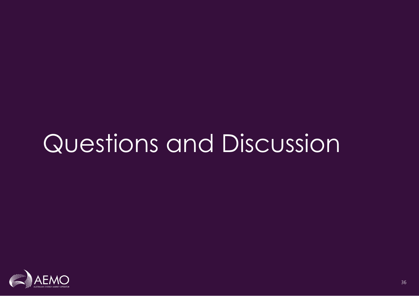## Questions and Discussion

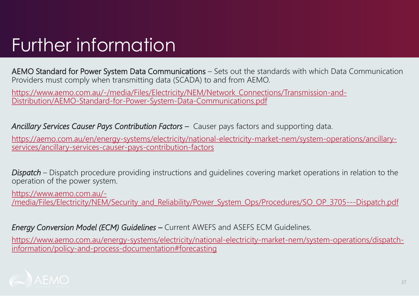#### Further information

AEMO Standard for Power System Data Communications – Sets out the standards with which Data Communication Providers must comply when transmitting data (SCADA) to and from AEMO.

[https://www.aemo.com.au/-/media/Files/Electricity/NEM/Network\\_Connections/Transmission-and-](https://www.aemo.com.au/-/media/Files/Electricity/NEM/Network_Connections/Transmission-and-Distribution/AEMO-Standard-for-Power-System-Data-Communications.pdf)Distribution/AEMO-Standard-for-Power-System-Data-Communications.pdf

*Ancillary Services Causer Pays Contribution Factors –* Causer pays factors and supporting data.

[https://aemo.com.au/en/energy-systems/electricity/national-electricity-market-nem/system-operations/ancillary](https://aemo.com.au/en/energy-systems/electricity/national-electricity-market-nem/system-operations/ancillary-services/ancillary-services-causer-pays-contribution-factors)services/ancillary-services-causer-pays-contribution-factors

*Dispatch* – Dispatch procedure providing instructions and guidelines covering market operations in relation to the operation of the power system.

https://www.aemo.com.au/-

[/media/Files/Electricity/NEM/Security\\_and\\_Reliability/Power\\_System\\_Ops/Procedures/SO\\_OP\\_3705---Dispatch.pdf](https://www.aemo.com.au/-/media/Files/Electricity/NEM/Security_and_Reliability/Power_System_Ops/Procedures/SO_OP_3705---Dispatch.pdf)

*Energy Conversion Model (ECM) Guidelines –* Current AWEFS and ASEFS ECM Guidelines.

[https://www.aemo.com.au/energy-systems/electricity/national-electricity-market-nem/system-operations/dispatch](https://www.aemo.com.au/energy-systems/electricity/national-electricity-market-nem/system-operations/dispatch-information/policy-and-process-documentation#forecasting)information/policy-and-process-documentation#forecasting

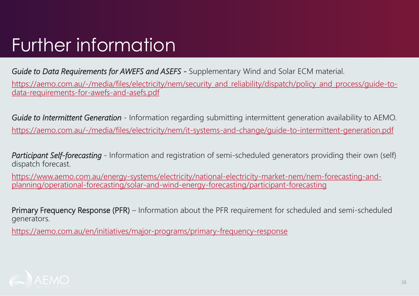### Further information

*Guide to Data Requirements for AWEFS and ASEFS -* Supplementary Wind and Solar ECM material.

[https://aemo.com.au/-/media/files/electricity/nem/security\\_and\\_reliability/dispatch/policy\\_and\\_process/guide-to](https://aemo.com.au/-/media/files/electricity/nem/security_and_reliability/dispatch/policy_and_process/guide-to-data-requirements-for-awefs-and-asefs.pdf)data-requirements-for-awefs-and-asefs.pdf

*Guide to Intermittent Generation* - Information regarding submitting intermittent generation availability to AEMO. <https://aemo.com.au/-/media/files/electricity/nem/it-systems-and-change/guide-to-intermittent-generation.pdf>

*Participant Self-forecasting* - Information and registration of semi-scheduled generators providing their own (self) dispatch forecast.

[https://www.aemo.com.au/energy-systems/electricity/national-electricity-market-nem/nem-forecasting-and](https://www.aemo.com.au/energy-systems/electricity/national-electricity-market-nem/nem-forecasting-and-planning/operational-forecasting/solar-and-wind-energy-forecasting/participant-forecasting)planning/operational-forecasting/solar-and-wind-energy-forecasting/participant-forecasting

Primary Frequency Response (PFR) – Information about the PFR requirement for scheduled and semi-scheduled generators.

<https://aemo.com.au/en/initiatives/major-programs/primary-frequency-response>